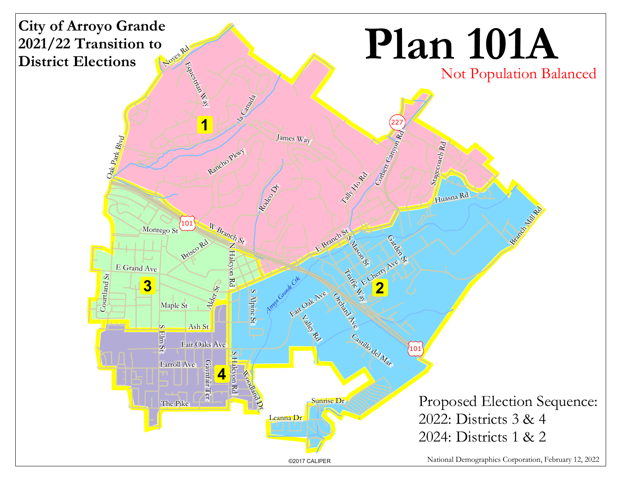